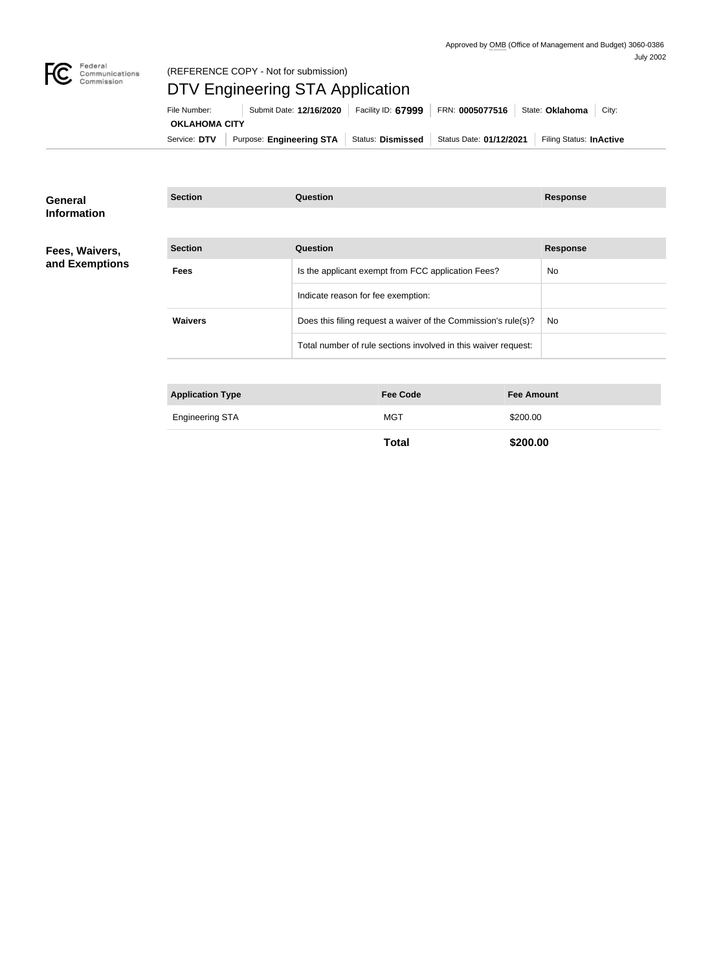

### (REFERENCE COPY - Not for submission)

# DTV Engineering STA Application

| File Number:         | Submit Date: 12/16/2020                                                | Facility ID: 67999 | FRN: 0005077516 | State: Oklahoma<br>Citv: |
|----------------------|------------------------------------------------------------------------|--------------------|-----------------|--------------------------|
| <b>OKLAHOMA CITY</b> |                                                                        |                    |                 |                          |
| Service: DTV         | Purpose: Engineering STA   Status: Dismissed   Status Date: 01/12/2021 |                    |                 | Filing Status: InActive  |

**Section Question Response**

#### **General Information**

### **Fees, Waivers, and Exemptions**

| <b>Section</b> | Question                                                       | <b>Response</b> |
|----------------|----------------------------------------------------------------|-----------------|
| <b>Fees</b>    | Is the applicant exempt from FCC application Fees?             | <b>No</b>       |
|                | Indicate reason for fee exemption:                             |                 |
| <b>Waivers</b> | Does this filing request a waiver of the Commission's rule(s)? | <b>No</b>       |
|                | Total number of rule sections involved in this waiver request: |                 |

| <b>Application Type</b> | <b>Fee Code</b> | <b>Fee Amount</b> |
|-------------------------|-----------------|-------------------|
| <b>Engineering STA</b>  | <b>MGT</b>      | \$200.00          |
|                         | Total           | \$200.00          |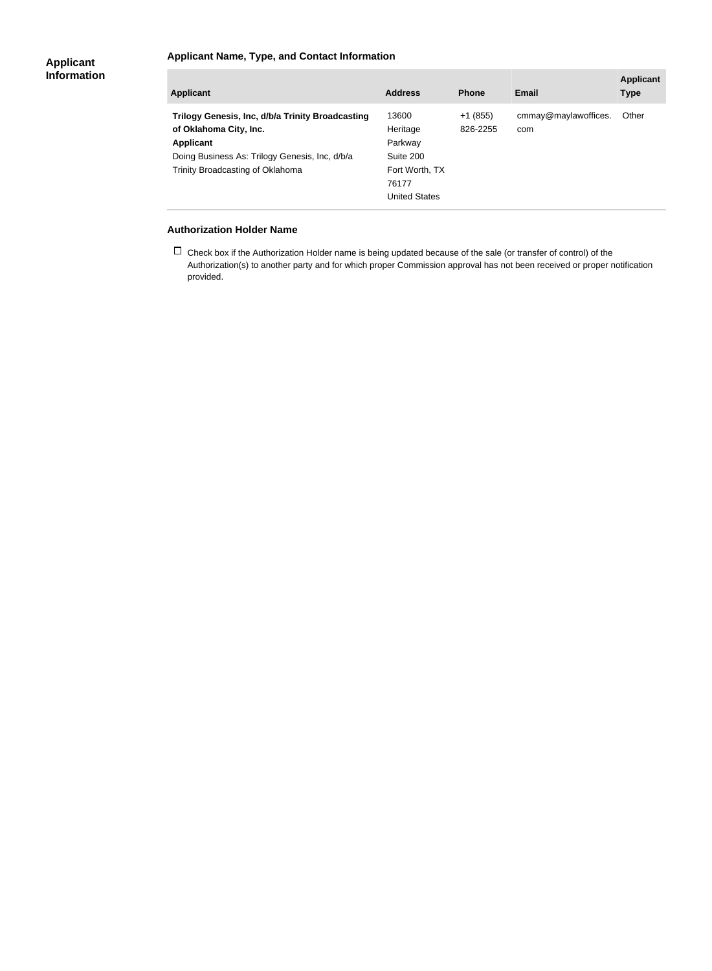### **Applicant Name, Type, and Contact Information**

| Applicant                                                                                                                                                                     | <b>Address</b>                                                                               | <b>Phone</b>          | Email                       | <b>Applicant</b><br><b>Type</b> |
|-------------------------------------------------------------------------------------------------------------------------------------------------------------------------------|----------------------------------------------------------------------------------------------|-----------------------|-----------------------------|---------------------------------|
| Trilogy Genesis, Inc, d/b/a Trinity Broadcasting<br>of Oklahoma City, Inc.<br>Applicant<br>Doing Business As: Trilogy Genesis, Inc, d/b/a<br>Trinity Broadcasting of Oklahoma | 13600<br>Heritage<br>Parkway<br>Suite 200<br>Fort Worth, TX<br>76177<br><b>United States</b> | $+1(855)$<br>826-2255 | cmmay@maylawoffices.<br>com | Other                           |

#### **Authorization Holder Name**

 $\Box$  Check box if the Authorization Holder name is being updated because of the sale (or transfer of control) of the Authorization(s) to another party and for which proper Commission approval has not been received or proper notification provided.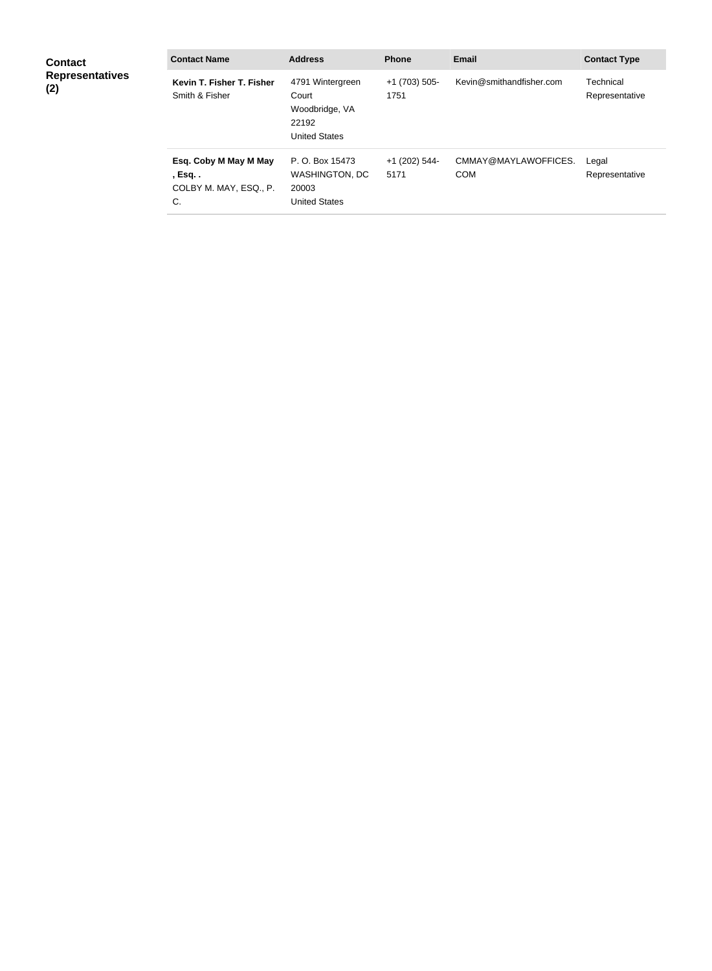| <b>Contact</b><br><b>Representatives</b><br>(2) | <b>Contact Name</b>                                               | <b>Address</b>                                                               | <b>Phone</b>          | <b>Email</b>                       | <b>Contact Type</b>         |
|-------------------------------------------------|-------------------------------------------------------------------|------------------------------------------------------------------------------|-----------------------|------------------------------------|-----------------------------|
|                                                 | Kevin T. Fisher T. Fisher<br>Smith & Fisher                       | 4791 Wintergreen<br>Court<br>Woodbridge, VA<br>22192<br><b>United States</b> | +1 (703) 505-<br>1751 | Kevin@smithandfisher.com           | Technical<br>Representative |
|                                                 | Esq. Coby M May M May<br>, Esq. .<br>COLBY M. MAY, ESQ., P.<br>C. | P. O. Box 15473<br><b>WASHINGTON, DC</b><br>20003<br><b>United States</b>    | +1 (202) 544-<br>5171 | CMMAY@MAYLAWOFFICES.<br><b>COM</b> | Legal<br>Representative     |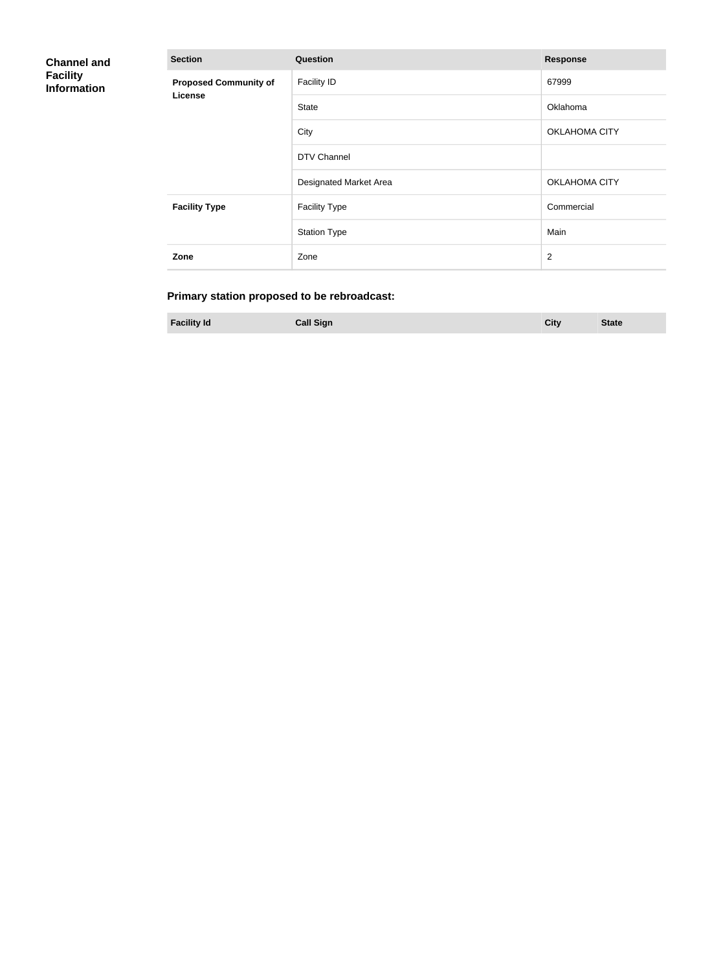| <b>Channel and</b><br><b>Facility</b><br><b>Information</b> | <b>Section</b>               | Question               | <b>Response</b>      |
|-------------------------------------------------------------|------------------------------|------------------------|----------------------|
|                                                             | <b>Proposed Community of</b> | <b>Facility ID</b>     | 67999                |
|                                                             | <b>License</b>               | <b>State</b>           | Oklahoma             |
|                                                             |                              | City                   | OKLAHOMA CITY        |
|                                                             |                              | DTV Channel            |                      |
|                                                             |                              | Designated Market Area | <b>OKLAHOMA CITY</b> |
|                                                             | <b>Facility Type</b>         | <b>Facility Type</b>   | Commercial           |
|                                                             |                              | <b>Station Type</b>    | Main                 |
|                                                             | Zone                         | Zone                   | $\overline{2}$       |

# **Primary station proposed to be rebroadcast:**

**Facility Id Call Sign City State**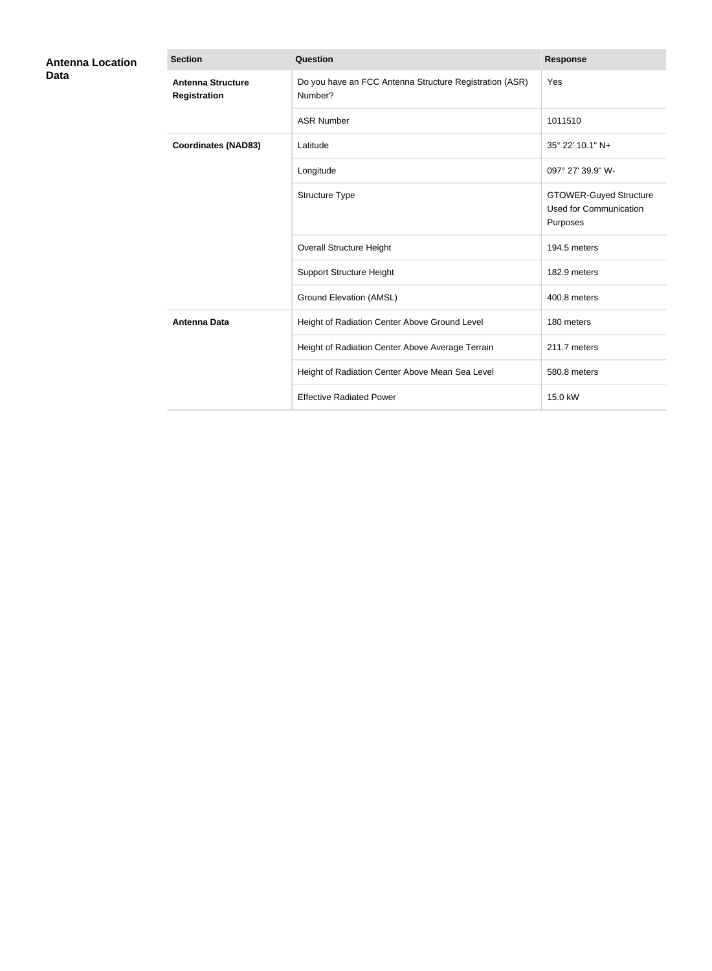| <b>Antenna Location</b> | <b>Section</b>                                  | <b>Question</b>                                                    | <b>Response</b>                                                            |
|-------------------------|-------------------------------------------------|--------------------------------------------------------------------|----------------------------------------------------------------------------|
| <b>Data</b>             | <b>Antenna Structure</b><br><b>Registration</b> | Do you have an FCC Antenna Structure Registration (ASR)<br>Number? | Yes                                                                        |
|                         |                                                 | <b>ASR Number</b>                                                  | 1011510                                                                    |
|                         | <b>Coordinates (NAD83)</b>                      | Latitude                                                           | 35° 22' 10.1" N+                                                           |
|                         |                                                 | Longitude                                                          | 097° 27' 39.9" W-                                                          |
|                         |                                                 | Structure Type                                                     | <b>GTOWER-Guyed Structure</b><br><b>Used for Communication</b><br>Purposes |
|                         |                                                 | <b>Overall Structure Height</b>                                    | 194.5 meters                                                               |
|                         |                                                 | <b>Support Structure Height</b>                                    | 182.9 meters                                                               |
|                         |                                                 | <b>Ground Elevation (AMSL)</b>                                     | 400.8 meters                                                               |
|                         | <b>Antenna Data</b>                             | Height of Radiation Center Above Ground Level                      | 180 meters                                                                 |
|                         |                                                 | Height of Radiation Center Above Average Terrain                   | 211.7 meters                                                               |
|                         |                                                 | Height of Radiation Center Above Mean Sea Level                    | 580.8 meters                                                               |
|                         |                                                 | <b>Effective Radiated Power</b>                                    | 15.0 kW                                                                    |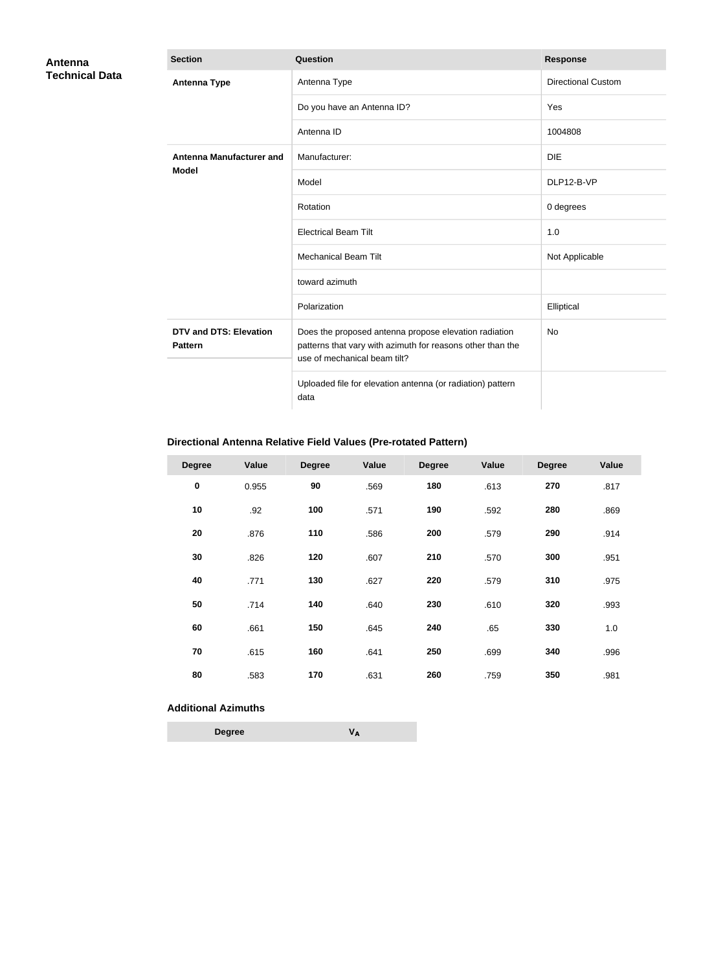| Antenna               | <b>Section</b>                                  | <b>Question</b>                                                                                                                                     | <b>Response</b>           |
|-----------------------|-------------------------------------------------|-----------------------------------------------------------------------------------------------------------------------------------------------------|---------------------------|
| <b>Technical Data</b> | <b>Antenna Type</b>                             | Antenna Type                                                                                                                                        | <b>Directional Custom</b> |
|                       |                                                 | Do you have an Antenna ID?                                                                                                                          | Yes                       |
|                       |                                                 | Antenna ID                                                                                                                                          | 1004808                   |
|                       | <b>Antenna Manufacturer and</b>                 | Manufacturer:                                                                                                                                       | <b>DIE</b>                |
|                       | <b>Model</b>                                    | Model                                                                                                                                               | DLP12-B-VP                |
|                       |                                                 | Rotation                                                                                                                                            | 0 degrees                 |
|                       |                                                 | <b>Electrical Beam Tilt</b>                                                                                                                         | 1.0                       |
|                       |                                                 | <b>Mechanical Beam Tilt</b>                                                                                                                         | Not Applicable            |
|                       |                                                 | toward azimuth                                                                                                                                      |                           |
|                       |                                                 | Polarization                                                                                                                                        | Elliptical                |
|                       | <b>DTV and DTS: Elevation</b><br><b>Pattern</b> | Does the proposed antenna propose elevation radiation<br>patterns that vary with azimuth for reasons other than the<br>use of mechanical beam tilt? | No                        |
|                       |                                                 | Uploaded file for elevation antenna (or radiation) pattern<br>data                                                                                  |                           |

## **Directional Antenna Relative Field Values (Pre-rotated Pattern)**

| <b>Degree</b> | Value | <b>Degree</b> | Value | <b>Degree</b> | Value | <b>Degree</b> | Value |
|---------------|-------|---------------|-------|---------------|-------|---------------|-------|
| $\pmb{0}$     | 0.955 | 90            | .569  | 180           | .613  | 270           | .817  |
| 10            | .92   | 100           | .571  | 190           | .592  | 280           | .869  |
| 20            | .876  | 110           | .586  | 200           | .579  | 290           | .914  |
| 30            | .826  | 120           | .607  | 210           | .570  | 300           | .951  |
| 40            | .771  | 130           | .627  | 220           | .579  | 310           | .975  |
| 50            | .714  | 140           | .640  | 230           | .610  | 320           | .993  |
| 60            | .661  | 150           | .645  | 240           | .65   | 330           | 1.0   |
| 70            | .615  | 160           | .641  | 250           | .699  | 340           | .996  |
| 80            | .583  | 170           | .631  | 260           | .759  | 350           | .981  |

#### **Additional Azimuths**

**Degree V<sup>A</sup>**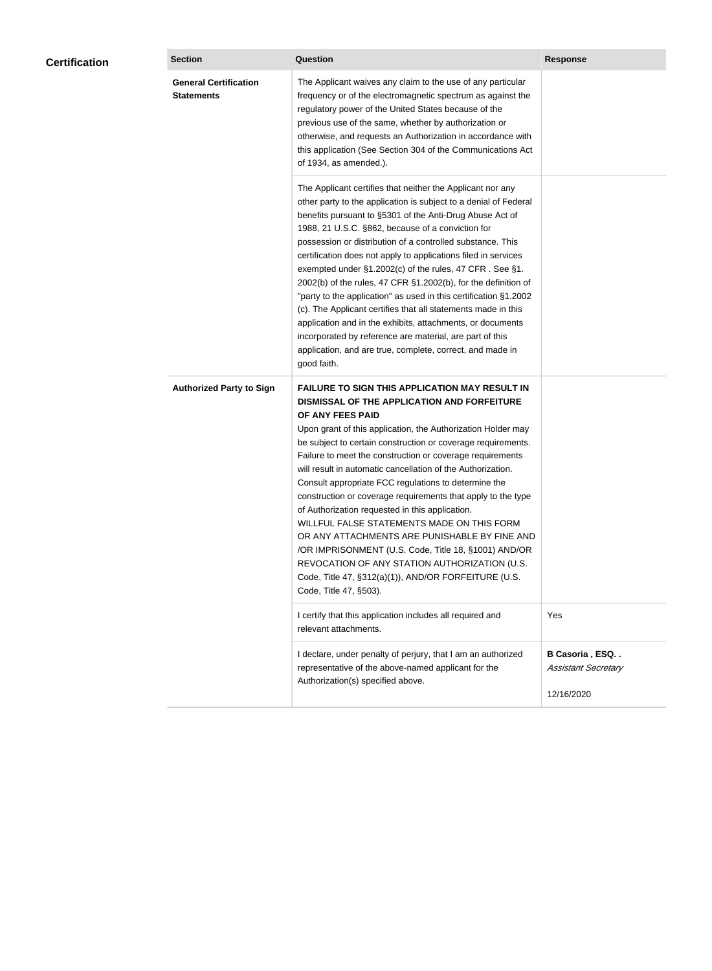| <b>General Certification</b><br>The Applicant waives any claim to the use of any particular<br><b>Statements</b><br>frequency or of the electromagnetic spectrum as against the<br>regulatory power of the United States because of the<br>previous use of the same, whether by authorization or<br>otherwise, and requests an Authorization in accordance with<br>this application (See Section 304 of the Communications Act<br>of 1934, as amended.).<br>The Applicant certifies that neither the Applicant nor any<br>other party to the application is subject to a denial of Federal<br>benefits pursuant to §5301 of the Anti-Drug Abuse Act of<br>1988, 21 U.S.C. §862, because of a conviction for<br>possession or distribution of a controlled substance. This<br>certification does not apply to applications filed in services<br>exempted under §1.2002(c) of the rules, 47 CFR. See §1.<br>2002(b) of the rules, 47 CFR §1.2002(b), for the definition of<br>"party to the application" as used in this certification §1.2002<br>(c). The Applicant certifies that all statements made in this<br>application and in the exhibits, attachments, or documents<br>incorporated by reference are material, are part of this<br>application, and are true, complete, correct, and made in<br>good faith.<br><b>Authorized Party to Sign</b><br><b>FAILURE TO SIGN THIS APPLICATION MAY RESULT IN</b><br>DISMISSAL OF THE APPLICATION AND FORFEITURE<br>OF ANY FEES PAID<br>Upon grant of this application, the Authorization Holder may<br>be subject to certain construction or coverage requirements.<br>Failure to meet the construction or coverage requirements<br>will result in automatic cancellation of the Authorization.<br>Consult appropriate FCC regulations to determine the<br>construction or coverage requirements that apply to the type<br>of Authorization requested in this application.<br>WILLFUL FALSE STATEMENTS MADE ON THIS FORM<br>OR ANY ATTACHMENTS ARE PUNISHABLE BY FINE AND<br>/OR IMPRISONMENT (U.S. Code, Title 18, §1001) AND/OR<br>REVOCATION OF ANY STATION AUTHORIZATION (U.S.<br>Code, Title 47, §312(a)(1)), AND/OR FORFEITURE (U.S.<br>Code, Title 47, §503).<br>I certify that this application includes all required and<br>Yes<br>relevant attachments.<br>B Casoria, ESQ<br>I declare, under penalty of perjury, that I am an authorized<br>representative of the above-named applicant for the<br><b>Assistant Secretary</b> | <b>Certification</b> | <b>Section</b> | <b>Question</b>                   | <b>Response</b> |
|-----------------------------------------------------------------------------------------------------------------------------------------------------------------------------------------------------------------------------------------------------------------------------------------------------------------------------------------------------------------------------------------------------------------------------------------------------------------------------------------------------------------------------------------------------------------------------------------------------------------------------------------------------------------------------------------------------------------------------------------------------------------------------------------------------------------------------------------------------------------------------------------------------------------------------------------------------------------------------------------------------------------------------------------------------------------------------------------------------------------------------------------------------------------------------------------------------------------------------------------------------------------------------------------------------------------------------------------------------------------------------------------------------------------------------------------------------------------------------------------------------------------------------------------------------------------------------------------------------------------------------------------------------------------------------------------------------------------------------------------------------------------------------------------------------------------------------------------------------------------------------------------------------------------------------------------------------------------------------------------------------------------------------------------------------------------------------------------------------------------------------------------------------------------------------------------------------------------------------------------------------------------------------------------------------------------------------------------------------------------------------------------------------------------------------------------------------------------------------------------|----------------------|----------------|-----------------------------------|-----------------|
|                                                                                                                                                                                                                                                                                                                                                                                                                                                                                                                                                                                                                                                                                                                                                                                                                                                                                                                                                                                                                                                                                                                                                                                                                                                                                                                                                                                                                                                                                                                                                                                                                                                                                                                                                                                                                                                                                                                                                                                                                                                                                                                                                                                                                                                                                                                                                                                                                                                                                         |                      |                |                                   |                 |
|                                                                                                                                                                                                                                                                                                                                                                                                                                                                                                                                                                                                                                                                                                                                                                                                                                                                                                                                                                                                                                                                                                                                                                                                                                                                                                                                                                                                                                                                                                                                                                                                                                                                                                                                                                                                                                                                                                                                                                                                                                                                                                                                                                                                                                                                                                                                                                                                                                                                                         |                      |                |                                   |                 |
|                                                                                                                                                                                                                                                                                                                                                                                                                                                                                                                                                                                                                                                                                                                                                                                                                                                                                                                                                                                                                                                                                                                                                                                                                                                                                                                                                                                                                                                                                                                                                                                                                                                                                                                                                                                                                                                                                                                                                                                                                                                                                                                                                                                                                                                                                                                                                                                                                                                                                         |                      |                |                                   |                 |
|                                                                                                                                                                                                                                                                                                                                                                                                                                                                                                                                                                                                                                                                                                                                                                                                                                                                                                                                                                                                                                                                                                                                                                                                                                                                                                                                                                                                                                                                                                                                                                                                                                                                                                                                                                                                                                                                                                                                                                                                                                                                                                                                                                                                                                                                                                                                                                                                                                                                                         |                      |                |                                   |                 |
| 12/16/2020                                                                                                                                                                                                                                                                                                                                                                                                                                                                                                                                                                                                                                                                                                                                                                                                                                                                                                                                                                                                                                                                                                                                                                                                                                                                                                                                                                                                                                                                                                                                                                                                                                                                                                                                                                                                                                                                                                                                                                                                                                                                                                                                                                                                                                                                                                                                                                                                                                                                              |                      |                | Authorization(s) specified above. |                 |